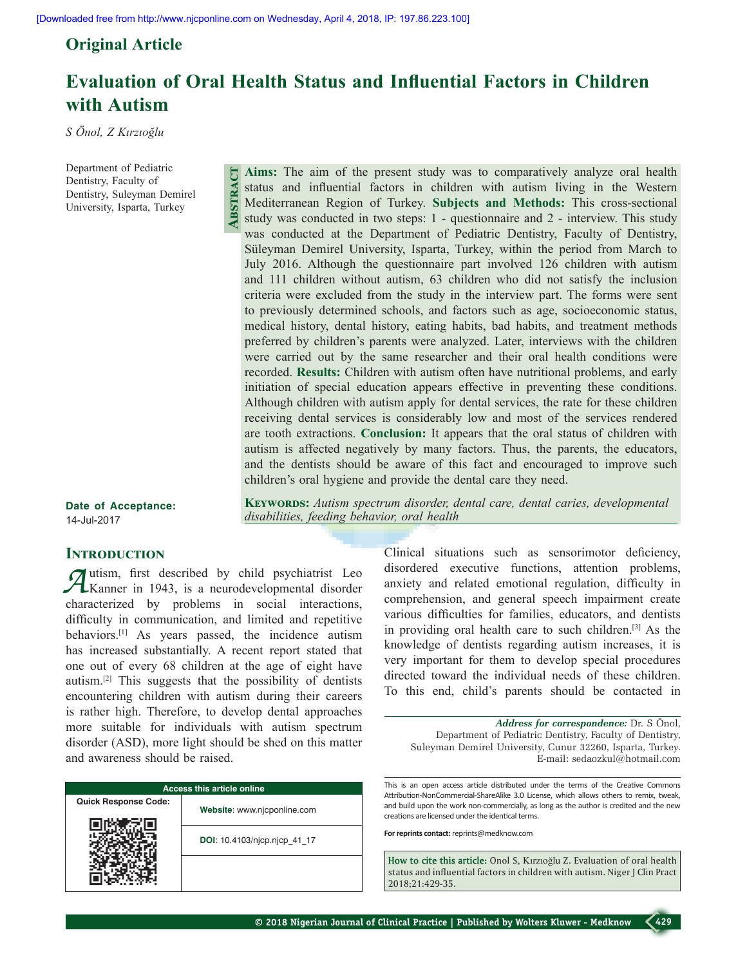**Abstract**

## **Original Article**

# **Evaluation of Oral Health Status and Influential Factors in Children with Autism**

*disabilities, feeding behavior, oral health*

*S Önol, Z Kırzıoğlu*

Department of Pediatric Dentistry, Faculty of Dentistry, Suleyman Demirel University, Isparta, Turkey

**Aims:** The aim of the present study was to comparatively analyze oral health status and influential factors in children with autism living in the Western Mediterranean Region of Turkey. **Subjects and Methods:** This cross‑sectional study was conducted in two steps: 1 ‑ questionnaire and 2 ‑ interview. This study was conducted at the Department of Pediatric Dentistry, Faculty of Dentistry, Süleyman Demirel University, Isparta, Turkey, within the period from March to July 2016. Although the questionnaire part involved 126 children with autism and 111 children without autism, 63 children who did not satisfy the inclusion criteria were excluded from the study in the interview part. The forms were sent to previously determined schools, and factors such as age, socioeconomic status, medical history, dental history, eating habits, bad habits, and treatment methods preferred by children's parents were analyzed. Later, interviews with the children were carried out by the same researcher and their oral health conditions were recorded. **Results:** Children with autism often have nutritional problems, and early initiation of special education appears effective in preventing these conditions. Although children with autism apply for dental services, the rate for these children receiving dental services is considerably low and most of the services rendered are tooth extractions. **Conclusion:** It appears that the oral status of children with autism is affected negatively by many factors. Thus, the parents, the educators, and the dentists should be aware of this fact and encouraged to improve such children's oral hygiene and provide the dental care they need.

KEYWORDS: Autism spectrum disorder, dental care, dental caries, developmental

**Date of Acceptance:** 14-Jul-2017

## **INTRODUCTION**

*A*utism, first described by child psychiatrist Leo<br>Kanner in 1943, is a neurodevelopmental disorder characterized by problems in social interactions, difficulty in communication, and limited and repetitive behaviors.[1] As years passed, the incidence autism has increased substantially. A recent report stated that one out of every 68 children at the age of eight have autism.[2] This suggests that the possibility of dentists encountering children with autism during their careers is rather high. Therefore, to develop dental approaches more suitable for individuals with autism spectrum disorder (ASD), more light should be shed on this matter and awareness should be raised.

| <b>Access this article online</b> |                              |  |  |  |
|-----------------------------------|------------------------------|--|--|--|
| <b>Quick Response Code:</b>       | Website: www.njcponline.com  |  |  |  |
|                                   | DOI: 10.4103/njcp.njcp 41 17 |  |  |  |
|                                   |                              |  |  |  |

Clinical situations such as sensorimotor deficiency, disordered executive functions, attention problems, anxiety and related emotional regulation, difficulty in comprehension, and general speech impairment create various difficulties for families, educators, and dentists in providing oral health care to such children.[3] As the knowledge of dentists regarding autism increases, it is very important for them to develop special procedures directed toward the individual needs of these children.

*Address for correspondence:* Dr. S Önol, Department of Pediatric Dentistry, Faculty of Dentistry, Suleyman Demirel University, Cunur 32260, Isparta, Turkey. E‑mail: sedaozkul@hotmail.com

To this end, child's parents should be contacted in

This is an open access article distributed under the terms of the Creative Commons Attribution-NonCommercial-ShareAlike 3.0 License, which allows others to remix, tweak, and build upon the work non-commercially, as long as the author is credited and the new creations are licensed under the identical terms.

**For reprints contact:** reprints@medknow.com

**How to cite this article:** Onol S, Kırzıoğlu Z. Evaluation of oral health status and influential factors in children with autism. Niger J Clin Pract 2018;21:429-35.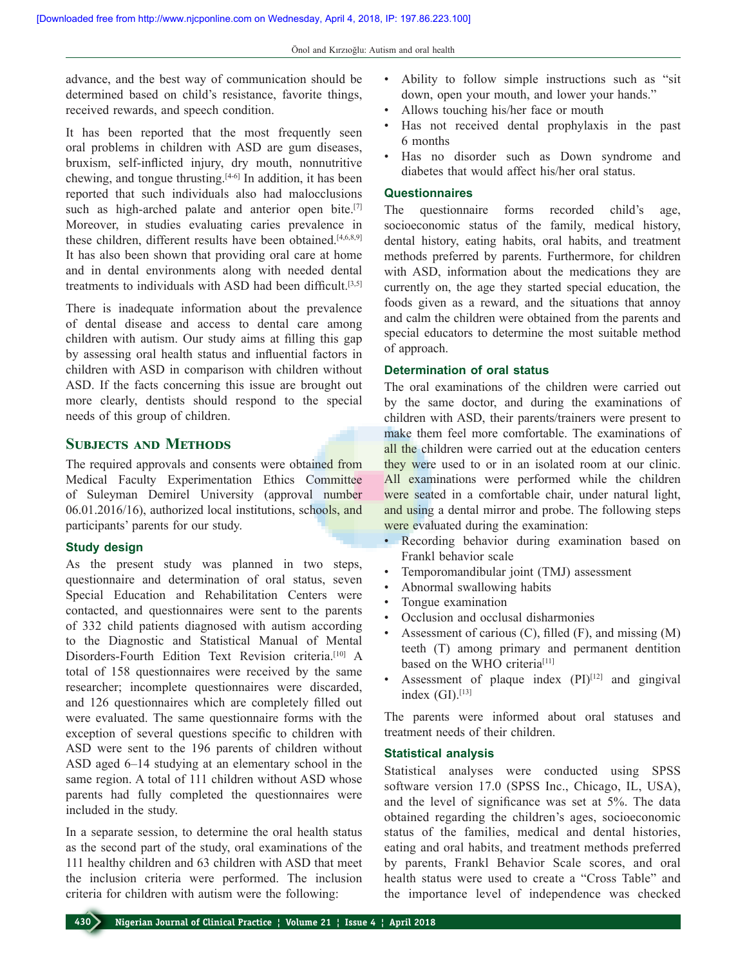advance, and the best way of communication should be determined based on child's resistance, favorite things, received rewards, and speech condition.

It has been reported that the most frequently seen oral problems in children with ASD are gum diseases, bruxism, self‑inflicted injury, dry mouth, nonnutritive chewing, and tongue thrusting.[4‑6] In addition, it has been reported that such individuals also had malocclusions such as high-arched palate and anterior open bite.<sup>[7]</sup> Moreover, in studies evaluating caries prevalence in these children, different results have been obtained.<sup>[4,6,8,9]</sup> It has also been shown that providing oral care at home and in dental environments along with needed dental treatments to individuals with ASD had been difficult.[3,5]

There is inadequate information about the prevalence of dental disease and access to dental care among children with autism. Our study aims at filling this gap by assessing oral health status and influential factors in children with ASD in comparison with children without ASD. If the facts concerning this issue are brought out more clearly, dentists should respond to the special needs of this group of children.

## **SUBJECTS AND METHODS**

The required approvals and consents were obtained from Medical Faculty Experimentation Ethics Committee of Suleyman Demirel University (approval number 06.01.2016/16), authorized local institutions, schools, and participants' parents for our study.

#### **Study design**

As the present study was planned in two steps, questionnaire and determination of oral status, seven Special Education and Rehabilitation Centers were contacted, and questionnaires were sent to the parents of 332 child patients diagnosed with autism according to the Diagnostic and Statistical Manual of Mental Disorders-Fourth Edition Text Revision criteria.<sup>[10]</sup> A total of 158 questionnaires were received by the same researcher; incomplete questionnaires were discarded, and 126 questionnaires which are completely filled out were evaluated. The same questionnaire forms with the exception of several questions specific to children with ASD were sent to the 196 parents of children without ASD aged 6–14 studying at an elementary school in the same region. A total of 111 children without ASD whose parents had fully completed the questionnaires were included in the study.

In a separate session, to determine the oral health status as the second part of the study, oral examinations of the 111 healthy children and 63 children with ASD that meet the inclusion criteria were performed. The inclusion criteria for children with autism were the following:

- • Ability to follow simple instructions such as "sit down, open your mouth, and lower your hands."
- Allows touching his/her face or mouth
- Has not received dental prophylaxis in the past 6 months
- • Has no disorder such as Down syndrome and diabetes that would affect his/her oral status.

#### **Questionnaires**

The questionnaire forms recorded child's age, socioeconomic status of the family, medical history, dental history, eating habits, oral habits, and treatment methods preferred by parents. Furthermore, for children with ASD, information about the medications they are currently on, the age they started special education, the foods given as a reward, and the situations that annoy and calm the children were obtained from the parents and special educators to determine the most suitable method of approach.

### **Determination of oral status**

The oral examinations of the children were carried out by the same doctor, and during the examinations of children with ASD, their parents/trainers were present to make them feel more comfortable. The examinations of all the children were carried out at the education centers they were used to or in an isolated room at our clinic. All examinations were performed while the children were seated in a comfortable chair, under natural light, and using a dental mirror and probe. The following steps were evaluated during the examination:

- Recording behavior during examination based on Frankl behavior scale
- Temporomandibular joint (TMJ) assessment
- Abnormal swallowing habits
- Tongue examination
- Occlusion and occlusal disharmonies
- Assessment of carious  $(C)$ , filled  $(F)$ , and missing  $(M)$ teeth (T) among primary and permanent dentition based on the WHO criteria<sup>[11]</sup>
- Assessment of plaque index  $(PI)^{[12]}$  and gingival index  $(GI).$ <sup>[13]</sup>

The parents were informed about oral statuses and treatment needs of their children.

#### **Statistical analysis**

Statistical analyses were conducted using SPSS software version 17.0 (SPSS Inc., Chicago, IL, USA), and the level of significance was set at 5%. The data obtained regarding the children's ages, socioeconomic status of the families, medical and dental histories, eating and oral habits, and treatment methods preferred by parents, Frankl Behavior Scale scores, and oral health status were used to create a "Cross Table" and the importance level of independence was checked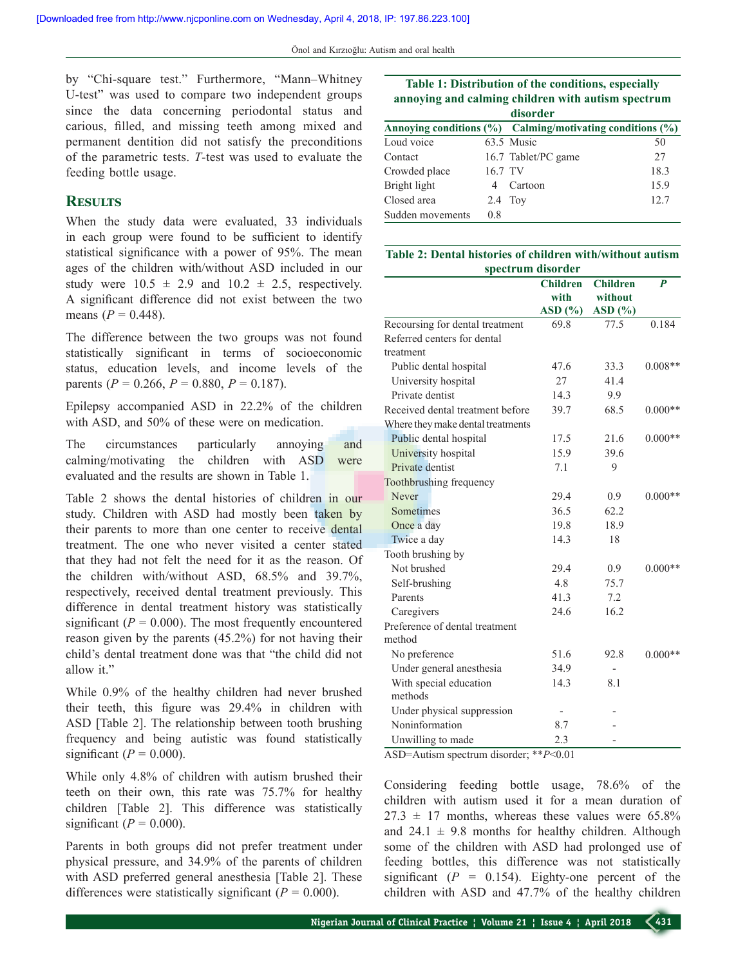by "Chi‑square test." Furthermore, "Mann–Whitney U-test" was used to compare two independent groups since the data concerning periodontal status and carious, filled, and missing teeth among mixed and permanent dentition did not satisfy the preconditions of the parametric tests. *T*‑test was used to evaluate the feeding bottle usage.

## **Results**

When the study data were evaluated, 33 individuals in each group were found to be sufficient to identify statistical significance with a power of 95%. The mean ages of the children with/without ASD included in our study were  $10.5 \pm 2.9$  and  $10.2 \pm 2.5$ , respectively. A significant difference did not exist between the two means  $(P = 0.448)$ .

The difference between the two groups was not found statistically significant in terms of socioeconomic status, education levels, and income levels of the parents ( $P = 0.266$ ,  $P = 0.880$ ,  $P = 0.187$ ).

Epilepsy accompanied ASD in 22.2% of the children with ASD, and 50% of these were on medication.

The circumstances particularly annoying and calming/motivating the children with ASD were evaluated and the results are shown in Table 1.

Table 2 shows the dental histories of children in our study. Children with ASD had mostly been taken by their parents to more than one center to receive dental treatment. The one who never visited a center stated that they had not felt the need for it as the reason. Of the children with/without ASD, 68.5% and 39.7%, respectively, received dental treatment previously. This difference in dental treatment history was statistically significant  $(P = 0.000)$ . The most frequently encountered reason given by the parents (45.2%) for not having their child's dental treatment done was that "the child did not allow it."

While 0.9% of the healthy children had never brushed their teeth, this figure was 29.4% in children with ASD [Table 2]. The relationship between tooth brushing frequency and being autistic was found statistically significant ( $P = 0.000$ ).

While only 4.8% of children with autism brushed their teeth on their own, this rate was 75.7% for healthy children [Table 2]. This difference was statistically significant ( $P = 0.000$ ).

Parents in both groups did not prefer treatment under physical pressure, and 34.9% of the parents of children with ASD preferred general anesthesia [Table 2]. These differences were statistically significant ( $P = 0.000$ ).

| Table 1: Distribution of the conditions, especially<br>annoying and calming children with autism spectrum |         |                                                           |      |  |  |  |  |
|-----------------------------------------------------------------------------------------------------------|---------|-----------------------------------------------------------|------|--|--|--|--|
| disorder                                                                                                  |         |                                                           |      |  |  |  |  |
|                                                                                                           |         | Annoying conditions (%) Calming/motivating conditions (%) |      |  |  |  |  |
| Loud voice                                                                                                |         | 63.5 Music                                                | 50   |  |  |  |  |
| Contact                                                                                                   |         | 16.7 Tablet/PC game                                       | 27   |  |  |  |  |
| Crowded place                                                                                             | 16.7 TV |                                                           | 18.3 |  |  |  |  |
| Bright light                                                                                              | 4       | Cartoon                                                   | 15.9 |  |  |  |  |
| Closed area                                                                                               |         | $2.4$ Toy                                                 | 12.7 |  |  |  |  |
| Sudden movements                                                                                          | 0.8     |                                                           |      |  |  |  |  |

#### **Table 2: Dental histories of children with/without autism spectrum disorder**

|                                   | <b>Children</b> | <b>Children</b> | $\boldsymbol{P}$ |
|-----------------------------------|-----------------|-----------------|------------------|
|                                   | with            | without         |                  |
|                                   | ASD(%)          | ASD(%)          |                  |
| Recoursing for dental treatment   | 69.8            | 77.5            | 0.184            |
| Referred centers for dental       |                 |                 |                  |
| treatment                         |                 |                 |                  |
| Public dental hospital            | 47.6            | 33.3            | $0.008**$        |
| University hospital               | 27              | 41.4            |                  |
| Private dentist                   | 14.3            | 9.9             |                  |
| Received dental treatment before  | 39.7            | 68.5            | $0.000**$        |
| Where they make dental treatments |                 |                 |                  |
| Public dental hospital            | 17.5            | 21.6            | $0.000**$        |
| University hospital               | 15.9            | 39.6            |                  |
| Private dentist                   | 7.1             | 9               |                  |
| Toothbrushing frequency           |                 |                 |                  |
| Never                             | 29.4            | 0.9             | $0.000**$        |
| Sometimes                         | 36.5            | 62.2            |                  |
| Once a day                        | 19.8            | 18.9            |                  |
| Twice a day                       | 14.3            | 18              |                  |
| Tooth brushing by                 |                 |                 |                  |
| Not brushed                       | 29.4            | 0.9             | $0.000**$        |
| Self-brushing                     | 4.8             | 75.7            |                  |
| Parents                           | 41.3            | 7.2             |                  |
| Caregivers                        | 24.6            | 16.2            |                  |
| Preference of dental treatment    |                 |                 |                  |
| method                            |                 |                 |                  |
| No preference                     | 51.6            | 92.8            | $0.000**$        |
| Under general anesthesia          | 34.9            |                 |                  |
| With special education            | 14.3            | 8.1             |                  |
| methods                           |                 |                 |                  |
| Under physical suppression        |                 |                 |                  |
| Noninformation                    | 8.7             |                 |                  |
| Unwilling to made                 | 2.3             |                 |                  |

ASD=Autism spectrum disorder; \*\**P*<0.01

Considering feeding bottle usage, 78.6% of the children with autism used it for a mean duration of  $27.3 \pm 17$  months, whereas these values were 65.8% and  $24.1 \pm 9.8$  months for healthy children. Although some of the children with ASD had prolonged use of feeding bottles, this difference was not statistically significant  $(P = 0.154)$ . Eighty-one percent of the children with ASD and 47.7% of the healthy children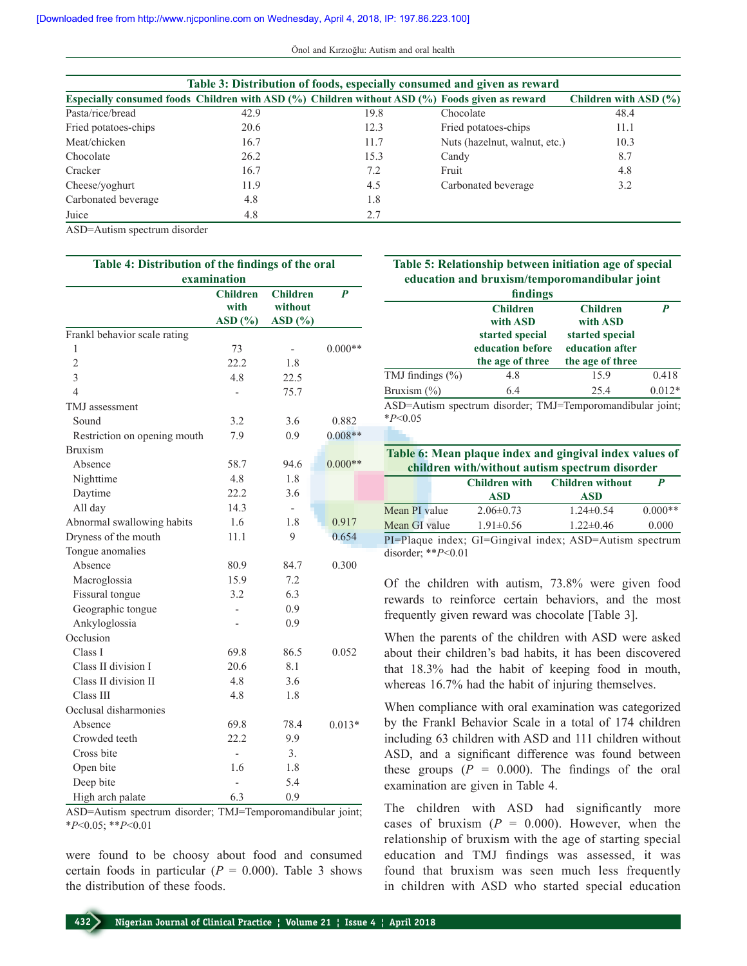|                      | Table 3: Distribution of foods, especially consumed and given as reward |                                                                                                |                               |                       |  |  |  |  |
|----------------------|-------------------------------------------------------------------------|------------------------------------------------------------------------------------------------|-------------------------------|-----------------------|--|--|--|--|
|                      |                                                                         | Especially consumed foods Children with ASD (%) Children without ASD (%) Foods given as reward |                               | Children with ASD (%) |  |  |  |  |
| Pasta/rice/bread     | 42.9                                                                    | 19.8                                                                                           | Chocolate                     | 48.4                  |  |  |  |  |
| Fried potatoes-chips | 20.6                                                                    | 12.3                                                                                           | Fried potatoes-chips          | 11.1                  |  |  |  |  |
| Meat/chicken         | 16.7                                                                    | 11.7                                                                                           | Nuts (hazelnut, walnut, etc.) | 10.3                  |  |  |  |  |
| Chocolate            | 26.2                                                                    | 15.3                                                                                           | Candy                         | 8.7                   |  |  |  |  |
| Cracker              | 16.7                                                                    | 7.2                                                                                            | Fruit                         | 4.8                   |  |  |  |  |
| Cheese/yoghurt       | 11.9                                                                    | 4.5                                                                                            | Carbonated beverage           | 3.2                   |  |  |  |  |
| Carbonated beverage  | 4.8                                                                     | 1.8                                                                                            |                               |                       |  |  |  |  |
| Juice                | 4.8                                                                     | 2.7                                                                                            |                               |                       |  |  |  |  |

ASD=Autism spectrum disorder

| Table 4: Distribution of the findings of the oral |                          |                          |           |  |  |  |
|---------------------------------------------------|--------------------------|--------------------------|-----------|--|--|--|
| examination                                       |                          |                          |           |  |  |  |
|                                                   | <b>Children</b>          | <b>Children</b>          | P         |  |  |  |
|                                                   | with                     | without                  |           |  |  |  |
|                                                   | ASD(%)                   | ASD(%)                   |           |  |  |  |
| Frankl behavior scale rating                      |                          |                          |           |  |  |  |
| 1                                                 | 73                       |                          | $0.000**$ |  |  |  |
| $\overline{2}$                                    | 22.2                     | 1.8                      |           |  |  |  |
| 3                                                 | 4.8                      | 22.5                     |           |  |  |  |
| 4                                                 | $\overline{a}$           | 75.7                     |           |  |  |  |
| TMJ assessment                                    |                          |                          |           |  |  |  |
| Sound                                             | 3.2                      | 3.6                      | 0.882     |  |  |  |
| Restriction on opening mouth                      | 7.9                      | 0.9                      | $0.008**$ |  |  |  |
| <b>Bruxism</b>                                    |                          |                          |           |  |  |  |
| Absence                                           | 58.7                     | 94.6                     | $0.000**$ |  |  |  |
| Nighttime                                         | 4.8                      | 1.8                      |           |  |  |  |
| Daytime                                           | 22.2                     | 3.6                      |           |  |  |  |
| All day                                           | 14.3                     | $\overline{\phantom{0}}$ |           |  |  |  |
| Abnormal swallowing habits                        | 1.6                      | 1.8                      | 0.917     |  |  |  |
| Dryness of the mouth                              | 11.1                     | 9                        | 0.654     |  |  |  |
| Tongue anomalies                                  |                          |                          |           |  |  |  |
| Absence                                           | 80.9                     | 84.7                     | 0.300     |  |  |  |
| Macroglossia                                      | 15.9                     | 7.2                      |           |  |  |  |
| Fissural tongue                                   | 3.2                      | 6.3                      |           |  |  |  |
| Geographic tongue                                 |                          | 0.9                      |           |  |  |  |
| Ankyloglossia                                     |                          | 0.9                      |           |  |  |  |
| Occlusion                                         |                          |                          |           |  |  |  |
| Class I                                           | 69.8                     | 86.5                     | 0.052     |  |  |  |
| Class II division I                               | 20.6                     | 8.1                      |           |  |  |  |
| Class II division II                              | 4.8                      | 3.6                      |           |  |  |  |
| Class III                                         | 4.8                      | 1.8                      |           |  |  |  |
| Occlusal disharmonies                             |                          |                          |           |  |  |  |
| Absence                                           | 69.8                     | 78.4                     | $0.013*$  |  |  |  |
| Crowded teeth                                     | 22.2                     | 9.9                      |           |  |  |  |
| Cross bite                                        | $\overline{\phantom{0}}$ | 3.                       |           |  |  |  |
| Open bite                                         | 1.6                      | 1.8                      |           |  |  |  |
| Deep bite                                         | $\overline{a}$           | 5.4                      |           |  |  |  |
| High arch palate                                  | 6.3                      | 0.9                      |           |  |  |  |

ASD=Autism spectrum disorder; TMJ=Temporomandibular joint; \**P*<0.05; \*\**P*<0.01

were found to be choosy about food and consumed certain foods in particular  $(P = 0.000)$ . Table 3 shows the distribution of these foods.

|                       | Table 5: Relationship between initiation age of special                                                                                                        |                                    |                  |
|-----------------------|----------------------------------------------------------------------------------------------------------------------------------------------------------------|------------------------------------|------------------|
|                       | education and bruxism/temporomandibular joint                                                                                                                  |                                    |                  |
|                       | findings                                                                                                                                                       |                                    |                  |
|                       | <b>Children</b>                                                                                                                                                | <b>Children</b>                    | $\boldsymbol{P}$ |
|                       | with ASD                                                                                                                                                       | with ASD                           |                  |
|                       | started special<br>education before                                                                                                                            | started special<br>education after |                  |
|                       | the age of three                                                                                                                                               | the age of three                   |                  |
| TMJ findings (%)      | 4.8                                                                                                                                                            | 15.9                               | 0.418            |
| Bruxism $(\% )$       | 6.4                                                                                                                                                            | 25.4                               | $0.012*$         |
|                       |                                                                                                                                                                |                                    |                  |
| $*P<0.05$             | ASD=Autism spectrum disorder; TMJ=Temporomandibular joint;                                                                                                     |                                    |                  |
|                       |                                                                                                                                                                |                                    |                  |
|                       |                                                                                                                                                                |                                    |                  |
|                       |                                                                                                                                                                |                                    |                  |
|                       | Table 6: Mean plaque index and gingival index values of<br>children with/without autism spectrum disorder                                                      |                                    |                  |
|                       | <b>Children with</b>                                                                                                                                           | <b>Children without</b>            | $\boldsymbol{p}$ |
|                       | <b>ASD</b>                                                                                                                                                     | <b>ASD</b>                         |                  |
| Mean PI value         | $2.06 \pm 0.73$                                                                                                                                                | $1.24 \pm 0.54$                    | $0.000**$        |
| Mean GI value         | $1.91 \pm 0.56$                                                                                                                                                | $1.22 \pm 0.46$                    | 0.000            |
| disorder; ** $P<0.01$ | PI=Plaque index; GI=Gingival index; ASD=Autism spectrum                                                                                                        |                                    |                  |
|                       | Of the children with autism, 73.8% were given food<br>rewards to reinforce certain behaviors, and the most<br>frequently given reward was chocolate [Table 3]. |                                    |                  |

that 18.3% had the habit of keeping food in mouth, whereas 16.7% had the habit of injuring themselves.

When compliance with oral examination was categorized by the Frankl Behavior Scale in a total of 174 children including 63 children with ASD and 111 children without ASD, and a significant difference was found between these groups  $(P = 0.000)$ . The findings of the oral examination are given in Table 4.

The children with ASD had significantly more cases of bruxism  $(P = 0.000)$ . However, when the relationship of bruxism with the age of starting special education and TMJ findings was assessed, it was found that bruxism was seen much less frequently in children with ASD who started special education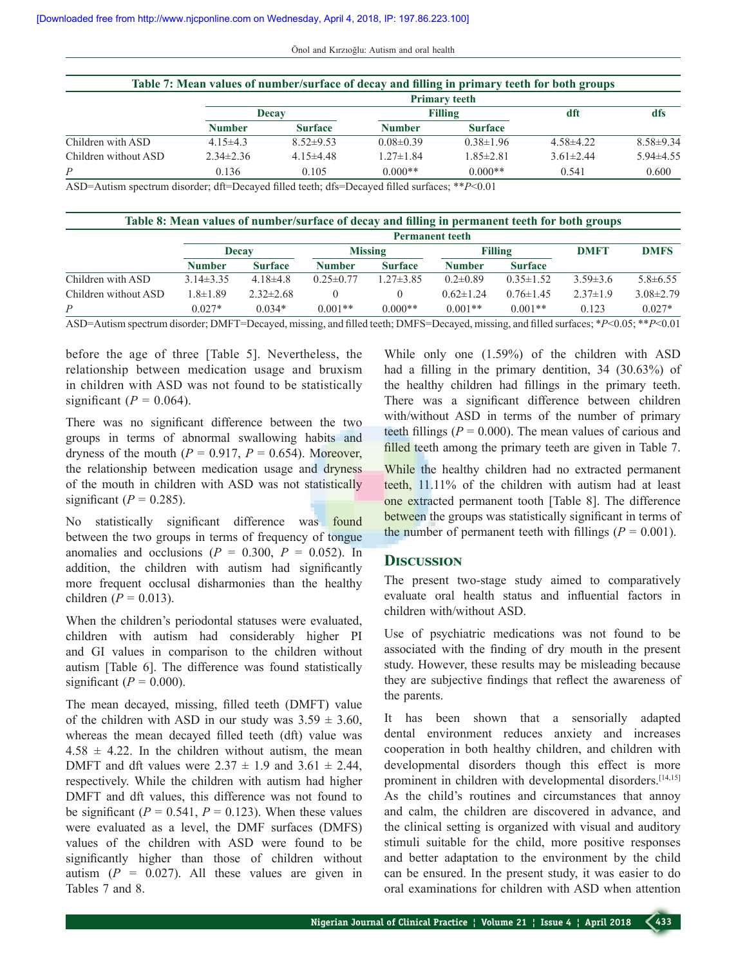| Önol and Kırzıoğlu: Autism and oral health |  |  |  |  |  |  |  |
|--------------------------------------------|--|--|--|--|--|--|--|
|--------------------------------------------|--|--|--|--|--|--|--|

|                      | <b>Primary teeth</b> |                |                 |                 |                 |                 |  |
|----------------------|----------------------|----------------|-----------------|-----------------|-----------------|-----------------|--|
|                      |                      | <b>Decay</b>   | <b>Filling</b>  |                 | dft             | dfs             |  |
|                      | <b>Number</b>        | <b>Surface</b> | <b>Number</b>   | <b>Surface</b>  |                 |                 |  |
| Children with ASD    | 4.15 $\pm$ 4.3       | $8.52\pm9.53$  | $0.08\pm0.39$   | $0.38 \pm 1.96$ | $4.58\pm4.22$   | $8.58 \pm 9.34$ |  |
| Children without ASD | $2.34\pm2.36$        | $4.15\pm4.48$  | $1.27 \pm 1.84$ | $1.85 \pm 2.81$ | $3.61 \pm 2.44$ | $5.94\pm4.55$   |  |
| $\overline{P}$       | 0.136                | 0.105          | $0.000**$       | $0.000**$       | 0.541           | 0.600           |  |

ASD=Autism spectrum disorder; dft=Decayed filled teeth; dfs=Decayed filled surfaces; \*\**P*<0.01

|                      | <b>Permanent teeth</b> |                 |                 |                 |                 |                 |                |                 |
|----------------------|------------------------|-----------------|-----------------|-----------------|-----------------|-----------------|----------------|-----------------|
|                      |                        | Decay           |                 | <b>Missing</b>  |                 | <b>Filling</b>  |                | <b>DMFS</b>     |
|                      | <b>Number</b>          | <b>Surface</b>  | <b>Number</b>   | <b>Surface</b>  | <b>Number</b>   | <b>Surface</b>  |                |                 |
| Children with ASD    | $3.14\pm3.35$          | 4.18 $\pm$ 4.8  | $0.25 \pm 0.77$ | $1.27 \pm 3.85$ | $0.2 \pm 0.89$  | $0.35 \pm 1.52$ | $3.59\pm3.6$   | $5.8\pm 6.55$   |
| Children without ASD | $1.8 \pm 1.89$         | $2.32 \pm 2.68$ |                 |                 | $0.62 \pm 1.24$ | $0.76 \pm 1.45$ | $2.37 \pm 1.9$ | $3.08 \pm 2.79$ |
| P                    | $0.027*$               | $0.034*$        | $0.001**$       | $0.000**$       | $0.001**$       | $0.001**$       | 0.123          | $0.027*$        |

ASD=Autism spectrum disorder; DMFT=Decayed, missing, and filled teeth; DMFS=Decayed, missing, and filled surfaces; \**P*<0.05; \*\**P*<0.01

before the age of three [Table 5]. Nevertheless, the relationship between medication usage and bruxism in children with ASD was not found to be statistically significant ( $P = 0.064$ ).

There was no significant difference between the two groups in terms of abnormal swallowing habits and dryness of the mouth  $(P = 0.917, P = 0.654)$ . Moreover, the relationship between medication usage and dryness of the mouth in children with ASD was not statistically significant  $(P = 0.285)$ .

No statistically significant difference was found between the two groups in terms of frequency of tongue anomalies and occlusions  $(P = 0.300, P = 0.052)$ . In addition, the children with autism had significantly more frequent occlusal disharmonies than the healthy children ( $P = 0.013$ ).

When the children's periodontal statuses were evaluated, children with autism had considerably higher PI and GI values in comparison to the children without autism [Table 6]. The difference was found statistically significant ( $P = 0.000$ ).

The mean decayed, missing, filled teeth (DMFT) value of the children with ASD in our study was  $3.59 \pm 3.60$ , whereas the mean decayed filled teeth (dft) value was  $4.58 \pm 4.22$ . In the children without autism, the mean DMFT and dft values were  $2.37 \pm 1.9$  and  $3.61 \pm 2.44$ , respectively. While the children with autism had higher DMFT and dft values, this difference was not found to be significant ( $P = 0.541$ ,  $P = 0.123$ ). When these values were evaluated as a level, the DMF surfaces (DMFS) values of the children with ASD were found to be significantly higher than those of children without autism  $(P = 0.027)$ . All these values are given in Tables 7 and 8.

While only one (1.59%) of the children with ASD had a filling in the primary dentition, 34 (30.63%) of the healthy children had fillings in the primary teeth. There was a significant difference between children with/without ASD in terms of the number of primary teeth fillings ( $P = 0.000$ ). The mean values of carious and filled teeth among the primary teeth are given in Table 7.

While the healthy children had no extracted permanent teeth, 11.11% of the children with autism had at least one extracted permanent tooth [Table 8]. The difference between the groups was statistically significant in terms of the number of permanent teeth with fillings ( $P = 0.001$ ).

#### **Discussion**

The present two-stage study aimed to comparatively evaluate oral health status and influential factors in children with/without ASD.

Use of psychiatric medications was not found to be associated with the finding of dry mouth in the present study. However, these results may be misleading because they are subjective findings that reflect the awareness of the parents.

It has been shown that a sensorially adapted dental environment reduces anxiety and increases cooperation in both healthy children, and children with developmental disorders though this effect is more prominent in children with developmental disorders.<sup>[14,15]</sup> As the child's routines and circumstances that annoy and calm, the children are discovered in advance, and the clinical setting is organized with visual and auditory stimuli suitable for the child, more positive responses and better adaptation to the environment by the child can be ensured. In the present study, it was easier to do oral examinations for children with ASD when attention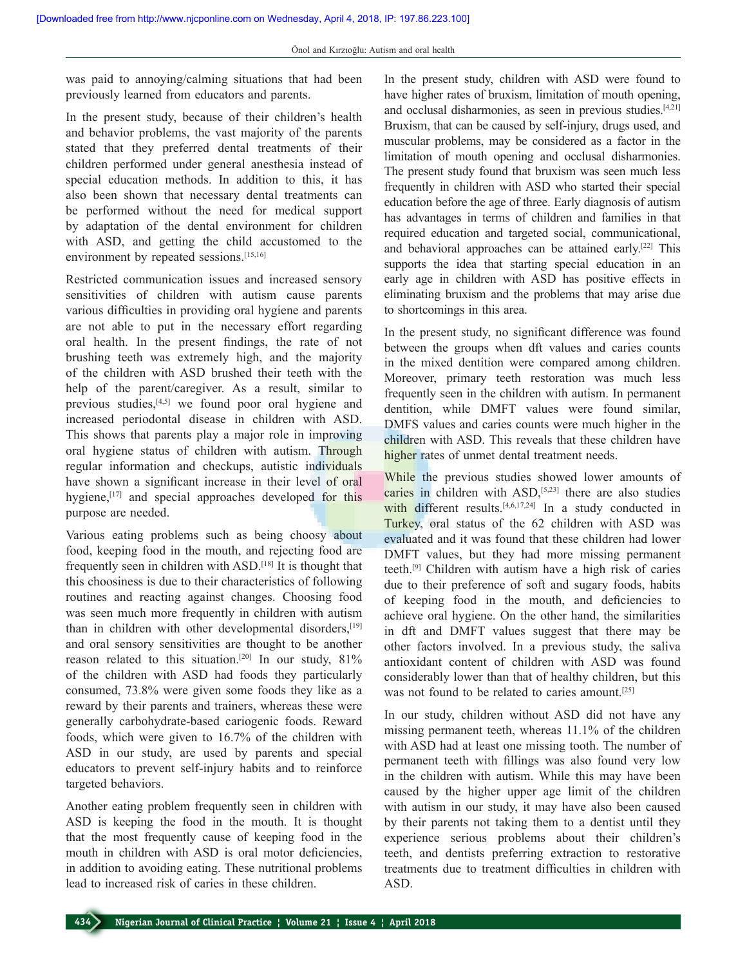was paid to annoying/calming situations that had been previously learned from educators and parents.

In the present study, because of their children's health and behavior problems, the vast majority of the parents stated that they preferred dental treatments of their children performed under general anesthesia instead of special education methods. In addition to this, it has also been shown that necessary dental treatments can be performed without the need for medical support by adaptation of the dental environment for children with ASD, and getting the child accustomed to the environment by repeated sessions.<sup>[15,16]</sup>

Restricted communication issues and increased sensory sensitivities of children with autism cause parents various difficulties in providing oral hygiene and parents are not able to put in the necessary effort regarding oral health. In the present findings, the rate of not brushing teeth was extremely high, and the majority of the children with ASD brushed their teeth with the help of the parent/caregiver. As a result, similar to previous studies, $[4,5]$  we found poor oral hygiene and increased periodontal disease in children with ASD. This shows that parents play a major role in improving oral hygiene status of children with autism. Through regular information and checkups, autistic individuals have shown a significant increase in their level of oral hygiene,<sup>[17]</sup> and special approaches developed for this purpose are needed.

Various eating problems such as being choosy about food, keeping food in the mouth, and rejecting food are frequently seen in children with ASD.[18] It is thought that this choosiness is due to their characteristics of following routines and reacting against changes. Choosing food was seen much more frequently in children with autism than in children with other developmental disorders,<sup>[19]</sup> and oral sensory sensitivities are thought to be another reason related to this situation.<sup>[20]</sup> In our study,  $81\%$ of the children with ASD had foods they particularly consumed, 73.8% were given some foods they like as a reward by their parents and trainers, whereas these were generally carbohydrate‑based cariogenic foods. Reward foods, which were given to 16.7% of the children with ASD in our study, are used by parents and special educators to prevent self‑injury habits and to reinforce targeted behaviors.

Another eating problem frequently seen in children with ASD is keeping the food in the mouth. It is thought that the most frequently cause of keeping food in the mouth in children with ASD is oral motor deficiencies, in addition to avoiding eating. These nutritional problems lead to increased risk of caries in these children.

In the present study, children with ASD were found to have higher rates of bruxism, limitation of mouth opening, and occlusal disharmonies, as seen in previous studies.[4,21] Bruxism, that can be caused by self-injury, drugs used, and muscular problems, may be considered as a factor in the limitation of mouth opening and occlusal disharmonies. The present study found that bruxism was seen much less frequently in children with ASD who started their special education before the age of three. Early diagnosis of autism has advantages in terms of children and families in that required education and targeted social, communicational, and behavioral approaches can be attained early.[22] This supports the idea that starting special education in an early age in children with ASD has positive effects in eliminating bruxism and the problems that may arise due to shortcomings in this area.

In the present study, no significant difference was found between the groups when dft values and caries counts in the mixed dentition were compared among children. Moreover, primary teeth restoration was much less frequently seen in the children with autism. In permanent dentition, while DMFT values were found similar, DMFS values and caries counts were much higher in the children with ASD. This reveals that these children have higher rates of unmet dental treatment needs.

While the previous studies showed lower amounts of caries in children with  $ASD$ ,<sup>[5,23]</sup> there are also studies with different results.<sup>[4,6,17,24]</sup> In a study conducted in Turkey, oral status of the 62 children with ASD was evaluated and it was found that these children had lower DMFT values, but they had more missing permanent teeth.[9] Children with autism have a high risk of caries due to their preference of soft and sugary foods, habits of keeping food in the mouth, and deficiencies to achieve oral hygiene. On the other hand, the similarities in dft and DMFT values suggest that there may be other factors involved. In a previous study, the saliva antioxidant content of children with ASD was found considerably lower than that of healthy children, but this was not found to be related to caries amount.<sup>[25]</sup>

In our study, children without ASD did not have any missing permanent teeth, whereas 11.1% of the children with ASD had at least one missing tooth. The number of permanent teeth with fillings was also found very low in the children with autism. While this may have been caused by the higher upper age limit of the children with autism in our study, it may have also been caused by their parents not taking them to a dentist until they experience serious problems about their children's teeth, and dentists preferring extraction to restorative treatments due to treatment difficulties in children with ASD.